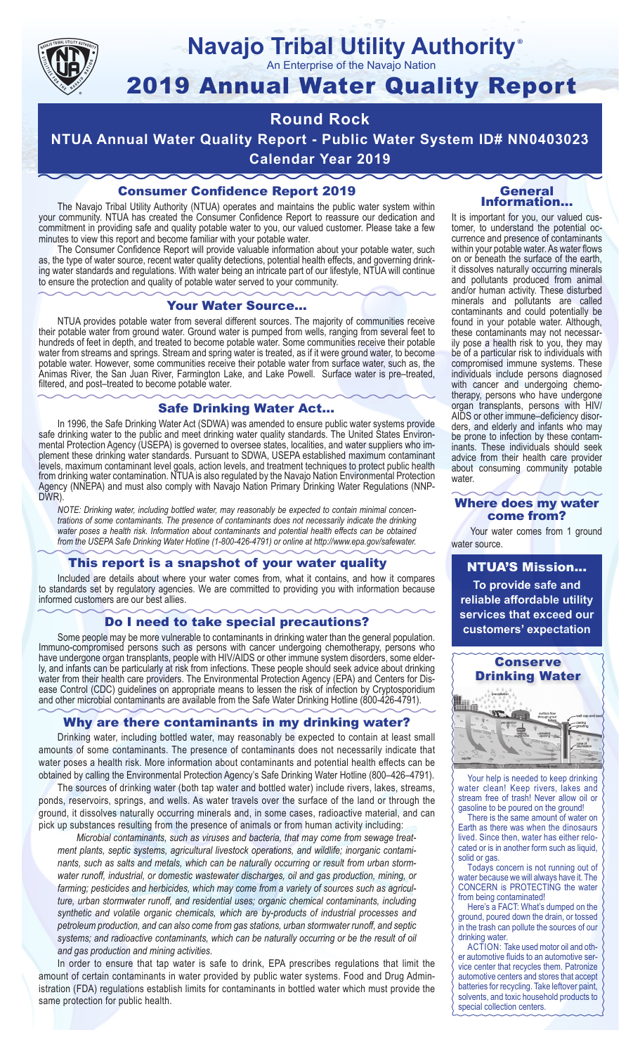

#### **Navajo Tribal Utility Authority** ®

An Enterprise of the Navajo Nation

# 2019 Annual Water Quality Report

### **Round Rock**

**NTUA Annual Water Quality Report - Public Water System ID# NN0403023 Calendar Year 2019**

#### Consumer Confidence Report 2019

The Navajo Tribal Utility Authority (NTUA) operates and maintains the public water system within your community. NTUA has created the Consumer Confidence Report to reassure our dedication and commitment in providing safe and quality potable water to you, our valued customer. Please take a few minutes to view this report and become familiar with your potable water.

The Consumer Confidence Report will provide valuable information about your potable water, such as, the type of water source, recent water quality detections, potential health effects, and governing drinking water standards and regulations. With water being an intricate part of our lifestyle, NTUA will continue to ensure the protection and quality of potable water served to your community.

#### Your Water Source…

NTUA provides potable water from several different sources. The majority of communities receive their potable water from ground water. Ground water is pumped from wells, ranging from several feet to hundreds of feet in depth, and treated to become potable water. Some communities receive their potable water from streams and springs. Stream and spring water is treated, as if it were ground water, to become potable water. However, some communities receive their potable water from surface water, such as, the Animas River, the San Juan River, Farmington Lake, and Lake Powell. Surface water is pre–treated, filtered, and post–treated to become potable water.

#### Safe Drinking Water Act…

In 1996, the Safe Drinking Water Act (SDWA) was amended to ensure public water systems provide safe drinking water to the public and meet drinking water quality standards. The United States Environmental Protection Agency (USEPA) is governed to oversee states, localities, and water suppliers who implement these drinking water standards. Pursuant to SDWA, USEPA established maximum contaminant levels, maximum contaminant level goals, action levels, and treatment techniques to protect public health from drinking water contamination. NTUA is also regulated by the Navajo Nation Environmental Protection Agency (NNEPA) and must also comply with Navajo Nation Primary Drinking Water Regulations (NNP-DWR)

*NOTE: Drinking water, including bottled water, may reasonably be expected to contain minimal concentrations of some contaminants. The presence of contaminants does not necessarily indicate the drinking water poses a health risk. Information about contaminants and potential health effects can be obtained from the USEPA Safe Drinking Water Hotline (1-800-426-4791) or online at http://www.epa.gov/safewater.*

#### This report is a snapshot of your water quality

Included are details about where your water comes from, what it contains, and how it compares to standards set by regulatory agencies. We are committed to providing you with information because informed customers are our best allies.

#### Do I need to take special precautions?

Some people may be more vulnerable to contaminants in drinking water than the general population. Immuno-compromised persons such as persons with cancer undergoing chemotherapy, persons who have undergone organ transplants, people with HIV/AIDS or other immune system disorders, some elderly, and infants can be particularly at risk from infections. These people should seek advice about drinking water from their health care providers. The Environmental Protection Agency (EPA) and Centers for Disease Control (CDC) guidelines on appropriate means to lessen the risk of infection by Cryptosporidium and other microbial contaminants are available from the Safe Water Drinking Hotline (800-426-4791).

#### Why are there contaminants in my drinking water?

Drinking water, including bottled water, may reasonably be expected to contain at least small amounts of some contaminants. The presence of contaminants does not necessarily indicate that water poses a health risk. More information about contaminants and potential health effects can be obtained by calling the Environmental Protection Agency's Safe Drinking Water Hotline (800–426–4791).

The sources of drinking water (both tap water and bottled water) include rivers, lakes, streams, ponds, reservoirs, springs, and wells. As water travels over the surface of the land or through the ground, it dissolves naturally occurring minerals and, in some cases, radioactive material, and can pick up substances resulting from the presence of animals or from human activity including:

*Microbial contaminants, such as viruses and bacteria, that may come from sewage treatment plants, septic systems, agricultural livestock operations, and wildlife; inorganic contaminants, such as salts and metals, which can be naturally occurring or result from urban stormwater runoff, industrial, or domestic wastewater discharges, oil and gas production, mining, or farming; pesticides and herbicides, which may come from a variety of sources such as agriculture, urban stormwater runoff, and residential uses; organic chemical contaminants, including synthetic and volatile organic chemicals, which are by-products of industrial processes and petroleum production, and can also come from gas stations, urban stormwater runoff, and septic systems; and radioactive contaminants, which can be naturally occurring or be the result of oil and gas production and mining activities.*

In order to ensure that tap water is safe to drink, EPA prescribes regulations that limit the amount of certain contaminants in water provided by public water systems. Food and Drug Administration (FDA) regulations establish limits for contaminants in bottled water which must provide the same protection for public health.

#### General Information…

It is important for you, our valued customer, to understand the potential occurrence and presence of contaminants within your potable water. As water flows on or beneath the surface of the earth, it dissolves naturally occurring minerals and pollutants produced from animal and/or human activity. These disturbed minerals and pollutants are called contaminants and could potentially be found in your potable water. Although, these contaminants may not necessarily pose a health risk to you, they may be of a particular risk to individuals with compromised immune systems. These individuals include persons diagnosed with cancer and undergoing chemo-<br>therapy, persons who have undergone organ transplants, persons with HIV/ AIDS or other immune–deficiency disor- ders, and elderly and infants who may be prone to infection by these contam- inants. These individuals should seek advice from their health care provider about consuming community potable water.

#### Where does my water come from?

Your water comes from 1 ground water source.

NTUA'S Mission... **To provide safe and reliable affordable utility services that exceed our customers' expectation**



Your help is needed to keep drinking water clean! Keep rivers, lakes and stream free of trash! Never allow oil or gasoline to be poured on the ground!

There is the same amount of water on Earth as there was when the dinosaurs lived. Since then, water has either relocated or is in another form such as liquid, solid or gas.

Todays concern is not running out of water because we will always have it. The CONCERN is PROTECTING the water from being contaminated!

Here's a FACT: What's dumped on the ground, poured down the drain, or tossed in the trash can pollute the sources of our drinking water.

ACTION: Take used motor oil and other automotive fluids to an automotive service center that recycles them. Patronize automotive centers and stores that accept batteries for recycling. Take leftover paint, solvents, and toxic household products to special collection centers.